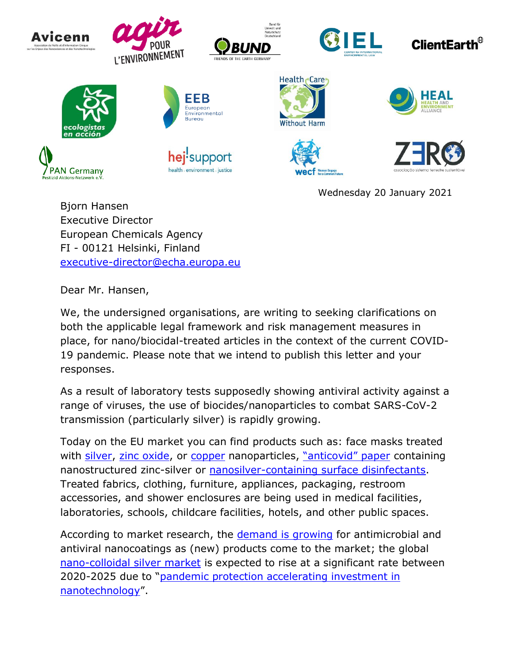

Bjorn Hansen Executive Director European Chemicals Agency FI - 00121 Helsinki, Finland [executive-director@echa.europa.eu](mailto:executive-director@echa.europa.eu)

Dear Mr. Hansen,

We, the undersigned organisations, are writing to seeking clarifications on both the applicable legal framework and risk management measures in place, for nano/biocidal-treated articles in the context of the current COVID-19 pandemic. Please note that we intend to publish this letter and your responses.

As a result of laboratory tests supposedly showing antiviral activity against a range of viruses, the use of biocides/nanoparticles to combat SARS-CoV-2 transmission (particularly silver) is rapidly growing.

Today on the EU market you can find products such as: face masks treated with [silver,](https://www.silvernanofacemasks.com/) [zinc oxide,](https://sonoviatech.com/) or [copper](https://www.cmddiffusion.com/product-page/product-page) nanoparticles, "a[nticovid" paper](https://anticovidpaper.com/en) containing nanostructured zinc-silver or [nanosilver-containing surface disinfectants.](https://nanosept-disinfectant.com/hospital-disinfection/hungarian-disinfectant-innovation-in-the-fight-against-coronavirus/) Treated fabrics, clothing, furniture, appliances, packaging, restroom accessories, and shower enclosures are being used in medical facilities, laboratories, schools, childcare facilities, hotels, and other public spaces.

According to market research, the [demand is growing](https://www.newsanyway.com/2020/07/29/demand-for-antimicrobial-and-antiviral-nanocoatings-continues-to-grow-as-products-come-to-market/) for antimicrobial and antiviral nanocoatings as (new) products come to the market; the global [nano-colloidal silver market](https://www.marketwatch.com/press-release/nano-colloidal-silver-market-share-2020-global-trend-industry-news-industry-demand-business-growth-top-key-players-update-business-statistics-and-research-methodology-by-forecast-to-2025-2020-10-16) is expected to rise at a significant rate between 2020-2025 due to "[pandemic protection accelerating investment in](https://nano-magazine.com/news/2021/1/2/pandemic-protection-is-accelerating-investment-in-artificial-intelligence-and-nanotechnology)  [nanotechnology](https://nano-magazine.com/news/2021/1/2/pandemic-protection-is-accelerating-investment-in-artificial-intelligence-and-nanotechnology)".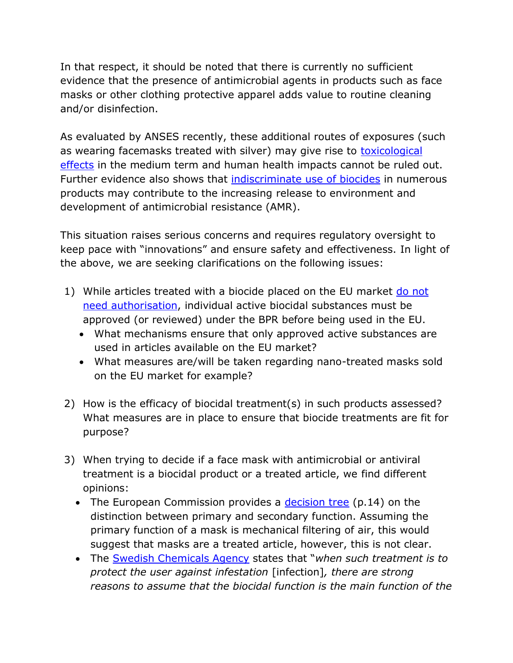In that respect, it should be noted that there is currently no sufficient evidence that the presence of antimicrobial agents in products such as face masks or other clothing protective apparel adds value to routine cleaning and/or disinfection.

As evaluated by ANSES recently, these additional routes of exposures (such as wearing facemasks treated with silver) may give rise to **toxicological** [effects](https://www.anses.fr/en/content/washable-cloth-masks-sold-brand-dim-assessment-risks-relating-fabric-treatment-using-silver) in the medium term and human health impacts cannot be ruled out. Further evidence also shows that [indiscriminate use of biocides](https://ec.europa.eu/health/scientific_committees/opinions_layman/en/biocides-antibiotic-resistance/biocides-antibiotic-resistance-greenfacts-level2.pdf) in numerous products may contribute to the increasing release to environment and development of antimicrobial resistance (AMR).

This situation raises serious concerns and requires regulatory oversight to keep pace with "innovations" and ensure safety and effectiveness. In light of the above, we are seeking clarifications on the following issues:

- 1) While articles treated with a biocide placed on the EU market do not [need authorisation,](https://echa.europa.eu/documents/10162/26065889/treated_articles_inbrief_en.pdf/1b182f63-0f46-fa04-eaf4-7937c9da2fbc) individual active biocidal substances must be approved (or reviewed) under the BPR before being used in the EU.
	- What mechanisms ensure that only approved active substances are used in articles available on the EU market?
	- What measures are/will be taken regarding nano-treated masks sold on the EU market for example?
- 2) How is the efficacy of biocidal treatment(s) in such products assessed? What measures are in place to ensure that biocide treatments are fit for purpose?
- 3) When trying to decide if a face mask with antimicrobial or antiviral treatment is a biocidal product or a treated article, we find different opinions:
	- The European Commission provides a [decision tree](https://circabc.europa.eu/sd/a/d7363efd-d8fb-43e6-8036-5bcc5e87bf22/CA-Sept13-Doc%205.1.e%20%28Rev1%29%20-%20treated%20articles%20guidance.doc) (p.14) on the distinction between primary and secondary function. Assuming the primary function of a mask is mechanical filtering of air, this would suggest that masks are a treated article, however, this is not clear.
	- The [Swedish Chemicals Agency](https://www.kemi.se/en/pesticides-and-biocides/biocidal-products/biocidal-treated-articles) states that "*when such treatment is to protect the user against infestation* [infection]*, there are strong reasons to assume that the biocidal function is the main function of the*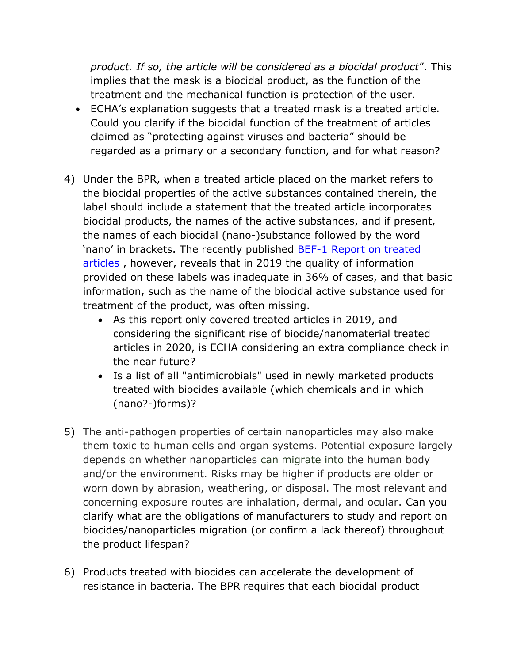*product. If so, the article will be considered as a biocidal product*". This implies that the mask is a biocidal product, as the function of the treatment and the mechanical function is protection of the user.

- ECHA's [explanation](https://echa.europa.eu/documents/10162/26065889/treated_articles_inbrief_en.pdf/1b182f63-0f46-fa04-eaf4-7937c9da2fbc) suggests that a treated mask is a treated article. Could you clarify if the biocidal function of the treatment of articles claimed as "protecting against viruses and bacteria" should be regarded as a primary or a secondary function, and for what reason?
- 4) Under the BPR, when a treated article placed on the market refers to the biocidal properties of the active substances contained therein, the label should include a statement that the treated article incorporates biocidal products, the names of the active substances, and if present, the names of each biocidal (nano-)substance followed by the word 'nano' in brackets. The recently published [BEF-1 Report on treated](https://echa.europa.eu/documents/10162/13555/bef_1_report_en.pdf/8e0e4520-3c41-92d2-0e9f-199109ee8f5f)  [articles](https://echa.europa.eu/documents/10162/13555/bef_1_report_en.pdf/8e0e4520-3c41-92d2-0e9f-199109ee8f5f), however, reveals that in 2019 the quality of information provided on these labels was inadequate in 36% of cases, and that basic information, such as the name of the biocidal active substance used for treatment of the product, was often missing.
	- As this report only covered treated articles in 2019, and considering the significant rise of biocide/nanomaterial treated articles in 2020, is ECHA considering an extra compliance check in the near future?
	- Is a list of all "antimicrobials" used in newly marketed products treated with biocides available (which chemicals and in which (nano?-)forms)?
- 5) The anti-pathogen properties of certain nanoparticles may also make them toxic to human cells and organ systems. Potential exposure largely depends on whether nanoparticles can migrate into the human body and/or the environment. Risks may be higher if products are older or worn down by abrasion, weathering, or disposal. The most relevant and concerning exposure routes are inhalation, dermal, and ocular. Can you clarify what are the obligations of manufacturers to study and report on biocides/nanoparticles migration (or confirm a lack thereof) throughout the product lifespan?
- 6) Products treated with biocides can accelerate the development of resistance in bacteria. The BPR requires that each biocidal product